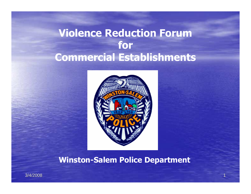### Violence Reduction ForumforCommercial Establishments



#### Winston-Salem Police Department

3/4/2008в последните представите на селото на селото на селото на селото на селото на селото на 1940 година, како е 1<br>Постојата на селото на селото на селото на 1940 година, како селото на 1940 година, како селото на 1940 година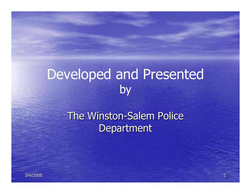# Developed and Presentedby

### The Winston-Salem Police Department

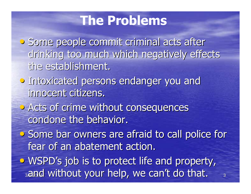### The Problems

• Some people commit criminal acts after drinking too much which negatively effects the establishment.

- **Intoxicated persons endanger you and** innocent citizens.
- Acts of crime without consequences condone the behavior.
- Some bar owners are afraid to call police for fear of an abatement action.

 $_3$ and without your help, we can't do that.  $\qquad \,$   $_3$ • WSPD's job is to protect life and property,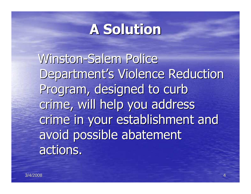# A Solution

Winston-Salem Police Department's Violence Reduction Program, designed to curb crime, will help you address crime in your establishment and avoid possible abatement actions.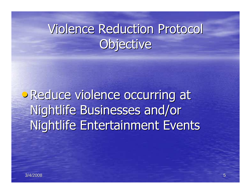# Violence Reduction Protocol **Objective**

•Reduce violence occurring at Nightlife Businesses and/or Nightlife Entertainment Events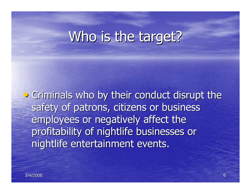### Who is the target?

• Criminals who by their conduct disrupt the safety of patrons, citizens or business employees or negatively affect the profitability of nightlife businesses or nightlife entertainment events.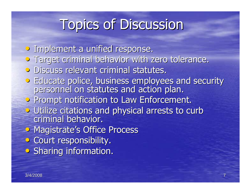# Topics of Discussion

- Implement a unified response.
- Target criminal behavior with zero tolerance.
- **•** Discuss relevant criminal statutes.
- Educate police, business employees and security personnel on statutes and action plan.
- Prompt notification to Law Enforcement.
- Utilize citations and physical arrests to curb<br>criminal behavior criminal behavior.
- Magistrate's Office Process
- Court responsibility.
- **•** Sharing information.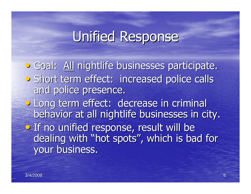# Unified Response

• Goal: All nightlife businesses participate. **•** Short term effect: increased police calls and police presence.• Long term effect: decrease in criminal behavior at all nightlife businesses in city. • If no unified response, result will be dealing with "hot spots", which is bad for your business.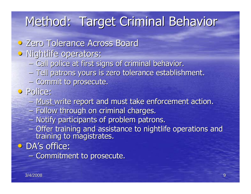### Method: Target Criminal Behavior

- Zero Tolerance Across Board
- Nightlife operators:
	- Call police at first signs of criminal behavior.
	- $-$  Tell patrons yours is zero tolerance establishment.
	- Commit to prosecute.
- Police:
	- Must write report and must take enforcement action.
	- –– Follow through on criminal charges.
	- Notify participants of problem patrons.
	- $\mathcal{L}_{\mathcal{A}}$ – Offer training and assistance to nightlife operations and<br>training to magistrates training to magistrates.
- DA's office:
	- $-$  Commitment to prosecute.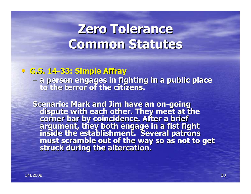#### • G.S. 14-33: Simple Affray $-$  3 nakean anggange in ti – a person engages in fighting in a public place<br>to the terror of the citizens.

Scenario: Mark and Jim have an on-going<br>dispute with each other. They meet at the<br>corner bar by coincidence. After a brief<br>argument, they both engage in a fist fight<br>inside the establishment. Several patrons<br>must scramble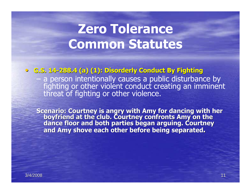• G.S. 14-288.4 (a) (1): Disorderly Conduct By Fighting $\Box$  narcon intantionally causes a nublic disturba a person intentionally causes a public disturbance by fighting or other violent conduct creating an imminent threat of fighting or other violence.

Scenario: Courtney is angry with Amy for dancing with her<br>boyfriend at the club. Courtney confronts Amy on the<br>dance floor and both parties began arguing. Courtney and Amy shove each other before being separated.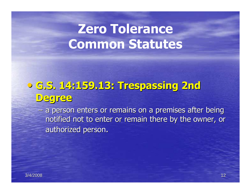### • G.S. 14:159.13: Trespassing 2nd Degree

 $2$  narce – a person enters or remains on a premises after being notified not to enter or remain there by the owner, or authorized person.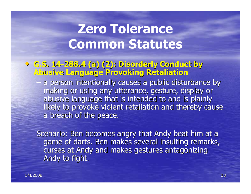• G.S. 14-288.4 (a) (2): Disorderly Conduct by Abusive Language Provoking Retaliation

 $-$  a narcon intentionally causes a nublic dist a person intentionally causes a public disturbance by making or using any utterance, gesture, display or abusive language that is intended to and is plainly likely to provoke violent retaliation and thereby cause a breach of the peace.

Scenario: Ben becomes angry that Andy beat him at a game of darts. Ben makes several insulting remarks,curses at Andy and makes gestures antagonizing Andy to fight.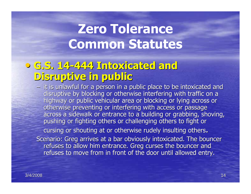#### • G.S. 14-444 Intoxicated and Disruptive in public

 $-$  if is Halawith tor a narson in a - it is unlawful for a person in a public place to be intoxicated and<br>diametics by blocking anotherwise interfacing with traffic an a disruptive by blocking or otherwise interfering with traffic on a highway or public vehicular area or blocking or lying across or otherwise preventing or interfering with access or passage across a sidewalk or entrance to a building or grabbing, shoving, pushing or fighting others or challenging others to fight or

cursing or shouting at or otherwise rudely insulting others.

 Scenario: Greg arrives at a bar obviously intoxicated. The bouncer refuses to allow him entrance. Greg curses the bouncer and refuses to move from in front of the door until allowed entry.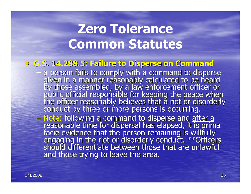#### • G.S. 14.288.5: Failure to Disperse on Command

- $-$  a barcon ralle to combine with a command to dishe - a person fails to comply with a command to disperse given in a manner reasonably calculated to be heard by those assembled, by a law enforcement officer orpublic official responsible for keeping the peace when<br>the officer reasonably believes that a riot or disorderly<br>conduct by three or more persons is occurring.
- Note: following a command to disperse and <u>after a</u><br>reasonable time for dispersal has elapsed, it is prima<br>facie evidence that the person remaining is willfully<br>engaging in the riot or disorderly conduct. \*\*Officers<br>shou and those trying to leave the area.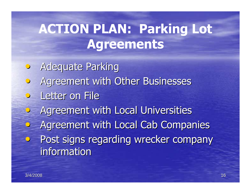# ACTION PLAN: Parking Lot Agreements

• Adequate Parking• Agreement with Other Businesses • Letter on File • Agreement with Local Universities • Agreement with Local Cab Companies  $\bullet$  Post signs regarding wrecker company information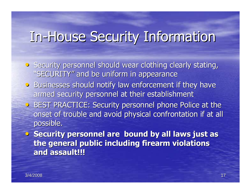### In-House Security Information

- Security personnel should wear clothing clearly stating, "SECURITY" and be uniform in appearance
- **Businesses should notify law enforcement if they have**  $\bullet$ armed security personnel at their establishment
- BEST PRACTICE: Security personnel phone Police at the onset of trouble and avoid physical confrontation if at all possible.
- Security personnel are bound by all laws just as the general public including firearm violations and assault!!!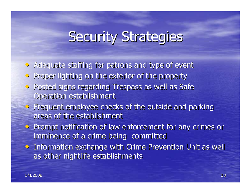### **Security Strategies**

• Adequate staffing for patrons and type of event

- Proper lighting on the exterior of the property
- Posted signs regarding Trespass as well as Safe Operation establishment
- Frequent employee checks of the outside and parking areas of the establishment
- Prompt notification of law enforcement for any crimes or imminence of a crime being committed
- Information exchange with Crime Prevention Unit as well as other nightlife establishments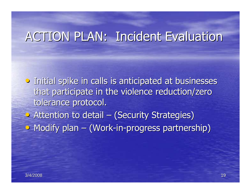### ACTION PLAN: Incident Evaluation

• Initial spike in calls is anticipated at businesses that participate in the violence reduction/zero tolerance protocol.

- Attention to detail (Security Strategies)
- Modify plan (Work-in-progress partnership)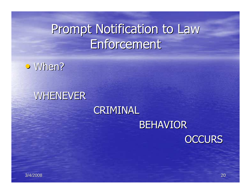### Prompt Notification to Law **Enforcement**

• When?

#### WHENEVER

### CRIMINAL BEHAVIOR **OCCURS**

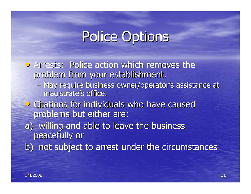# Police Options

• Arrests: Police action which removes the problem from your establishment. May require business owner/operator's assistance at magistrate's office.• Citations for individuals who have caused problems but either are:a) willing and able to leave the business peacefully orb) not subject to arrest under the circumstances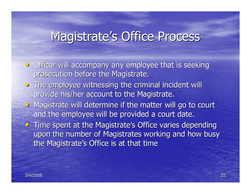### Magistrate's Office Process

- Officer will accompany any employee that is seeking prosecution before the Magistrate.
- The employee witnessing the criminal incident will provide his/her account to the Magistrate.
- Magistrate will determine if the matter will go to court and the employee will be provided a court date.
- Time spent at the Magistrate's Office varies depending upon the number of Magistrates working and how busythe Magistrate's Office is at that time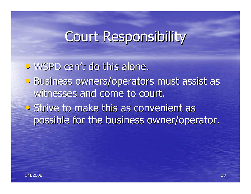## Court Responsibility

• WSPD can't do this alone. • Business owners/operators must assist as witnesses and come to court.• Strive to make this as convenient as possible for the business owner/operator.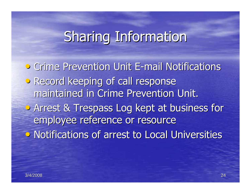### Sharing Information

• Crime Prevention Unit E-mail Notifications **• Record keeping of call response** maintained in Crime Prevention Unit.• Arrest & Trespass Log kept at business for employee reference or resource• Notifications of arrest to Local Universities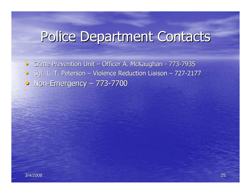### Police Department Contacts

• Crime Prevention Unit – Officer A. McKaughan - 773-7935 • Sgt. L. T. Peterson – Violence Reduction Liaison – 727-2177 • Non-Emergency – 773-7700